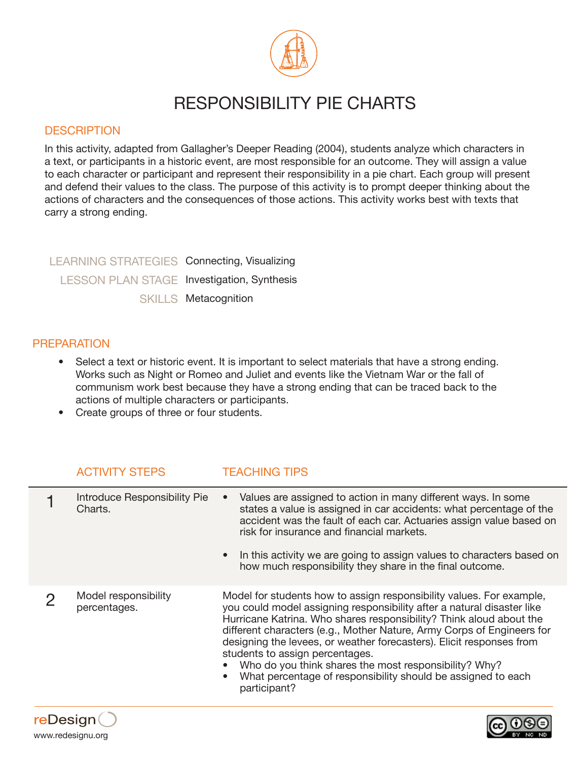

# RESPONSIBILITY PIE CHARTS

### **DESCRIPTION**

In this activity, adapted from Gallagher's Deeper Reading (2004), students analyze which characters in a text, or participants in a historic event, are most responsible for an outcome. They will assign a value to each character or participant and represent their responsibility in a pie chart. Each group will present and defend their values to the class. The purpose of this activity is to prompt deeper thinking about the actions of characters and the consequences of those actions. This activity works best with texts that carry a strong ending.

LEARNING STRATEGIES Connecting, Visualizing LESSON PLAN STAGE Investigation, Synthesis SKILLS Metacognition

#### **PREPARATION**

- Select a text or historic event. It is important to select materials that have a strong ending. Works such as Night or Romeo and Juliet and events like the Vietnam War or the fall of communism work best because they have a strong ending that can be traced back to the actions of multiple characters or participants.
- Create groups of three or four students.

## ACTIVITY STEPS TEACHING TIPS

| Introduce Responsibility Pie<br>Charts. | Values are assigned to action in many different ways. In some<br>states a value is assigned in car accidents: what percentage of the<br>accident was the fault of each car. Actuaries assign value based on<br>risk for insurance and financial markets.<br>• In this activity we are going to assign values to characters based on<br>how much responsibility they share in the final outcome.                                                                                                                                                     |
|-----------------------------------------|-----------------------------------------------------------------------------------------------------------------------------------------------------------------------------------------------------------------------------------------------------------------------------------------------------------------------------------------------------------------------------------------------------------------------------------------------------------------------------------------------------------------------------------------------------|
| Model responsibility<br>percentages.    | Model for students how to assign responsibility values. For example,<br>you could model assigning responsibility after a natural disaster like<br>Hurricane Katrina. Who shares responsibility? Think aloud about the<br>different characters (e.g., Mother Nature, Army Corps of Engineers for<br>designing the levees, or weather forecasters). Elicit responses from<br>students to assign percentages.<br>Who do you think shares the most responsibility? Why?<br>What percentage of responsibility should be assigned to each<br>participant? |
|                                         |                                                                                                                                                                                                                                                                                                                                                                                                                                                                                                                                                     |